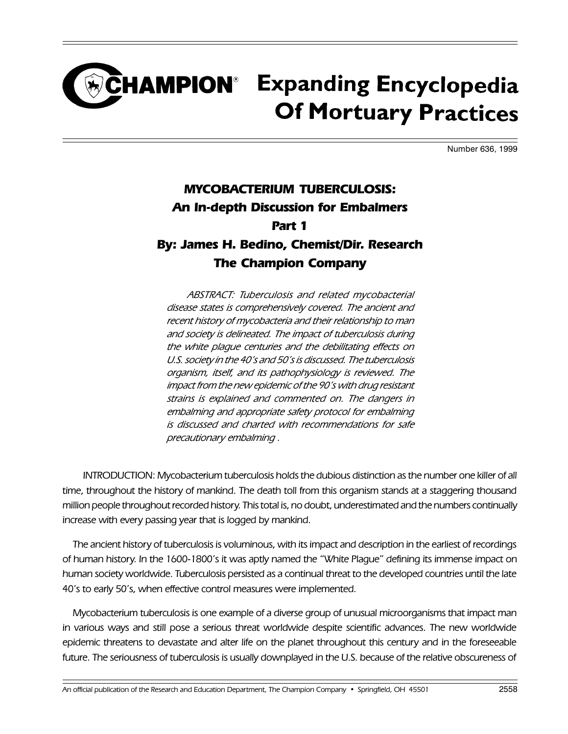## **CHAMPION**<sup>®</sup> Expanding Encyclopedia **Of Mortuary Practices**

Number 636, 1999

## MYCOBACTERIUM TUBERCULOSIS: An In-depth Discussion for Embalmers Part 1 By: James H. Bedino, Chemist/Dir. Research

## The Champion Company

ABSTRACT: Tuberculosis and related mycobacterial disease states is comprehensively covered. The ancient and recent history of mycobacteria and their relationship to man and society is delineated. The impact of tuberculosis during the white plague centuries and the debilitating effects on U.S. society in the 40's and 50's is discussed. The tuberculosis organism, itself, and its pathophysiology is reviewed. The impact from the new epidemic of the 90's with drug resistant strains is explained and commented on. The dangers in embalming and appropriate safety protocol for embalming is discussed and charted with recommendations for safe precautionary embalming .

INTRODUCTION: Mycobacterium tuberculosis holds the dubious distinction as the number one killer of all time, throughout the history of mankind. The death toll from this organism stands at a staggering thousand million people throughout recorded history. This total is, no doubt, underestimated and the numbers continually increase with every passing year that is logged by mankind.

The ancient history of tuberculosis is voluminous, with its impact and description in the earliest of recordings of human history. In the 1600-1800's it was aptly named the "White Plague" defining its immense impact on human society worldwide. Tuberculosis persisted as a continual threat to the developed countries until the late 40's to early 50's, when effective control measures were implemented.

Mycobacterium tuberculosis is one example of a diverse group of unusual microorganisms that impact man in various ways and still pose a serious threat worldwide despite scientific advances. The new worldwide epidemic threatens to devastate and alter life on the planet throughout this century and in the foreseeable future. The seriousness of tuberculosis is usually downplayed in the U.S. because of the relative obscureness of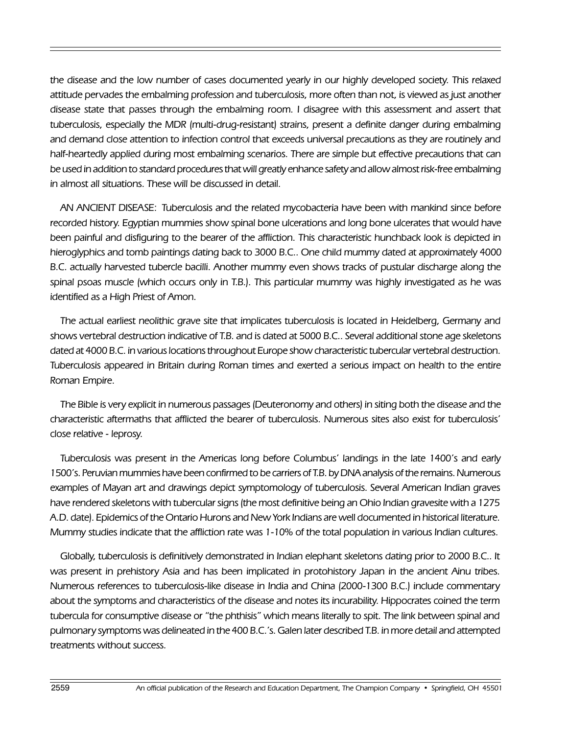the disease and the low number of cases documented yearly in our highly developed society. This relaxed attitude pervades the embalming profession and tuberculosis, more often than not, is viewed as just another disease state that passes through the embalming room. I disagree with this assessment and assert that tuberculosis, especially the MDR (multi-drug-resistant) strains, present a definite danger during embalming and demand close attention to infection control that exceeds universal precautions as they are routinely and half-heartedly applied during most embalming scenarios. There are simple but effective precautions that can be used in addition to standard procedures that will greatly enhance safety and allow almost risk-free embalming in almost all situations. These will be discussed in detail.

AN ANCIENT DISEASE: Tuberculosis and the related mycobacteria have been with mankind since before recorded history. Egyptian mummies show spinal bone ulcerations and long bone ulcerates that would have been painful and disfiguring to the bearer of the affliction. This characteristic hunchback look is depicted in hieroglyphics and tomb paintings dating back to 3000 B.C.. One child mummy dated at approximately 4000 B.C. actually harvested tubercle bacilli. Another mummy even shows tracks of pustular discharge along the spinal psoas muscle (which occurs only in T.B.). This particular mummy was highly investigated as he was identified as a High Priest of Amon.

The actual earliest neolithic grave site that implicates tuberculosis is located in Heidelberg, Germany and shows vertebral destruction indicative of T.B. and is dated at 5000 B.C.. Several additional stone age skeletons dated at 4000 B.C. in various locations throughout Europe show characteristic tubercular vertebral destruction. Tuberculosis appeared in Britain during Roman times and exerted a serious impact on health to the entire Roman Empire.

The Bible is very explicit in numerous passages (Deuteronomy and others) in siting both the disease and the characteristic aftermaths that afflicted the bearer of tuberculosis. Numerous sites also exist for tuberculosis close relative - leprosy.

Tuberculosis was present in the Americas long before Columbus' landings in the late 1400's and early 1500's. Peruvian mummies have been confirmed to be carriers of T.B. by DNA analysis of the remains. Numerous examples of Mayan art and drawings depict symptomology of tuberculosis. Several American Indian graves have rendered skeletons with tubercular signs (the most definitive being an Ohio Indian gravesite with a 1275 A.D. date). Epidemics of the Ontario Hurons and New York Indians are well documented in historical literature. Mummy studies indicate that the affliction rate was 1-10% of the total population in various Indian cultures.

Globally, tuberculosis is definitively demonstrated in Indian elephant skeletons dating prior to 2000 B.C.. It was present in prehistory Asia and has been implicated in protohistory Japan in the ancient Ainu tribes. Numerous references to tuberculosis-like disease in India and China (2000-1300 B.C.) include commentary about the symptoms and characteristics of the disease and notes its incurability. Hippocrates coined the term tubercula for consumptive disease or "the phthisis" which means literally to spit. The link between spinal and pulmonary symptoms was delineated in the 400 B.C.'s. Galen later described T.B. in more detail and attempted treatments without success.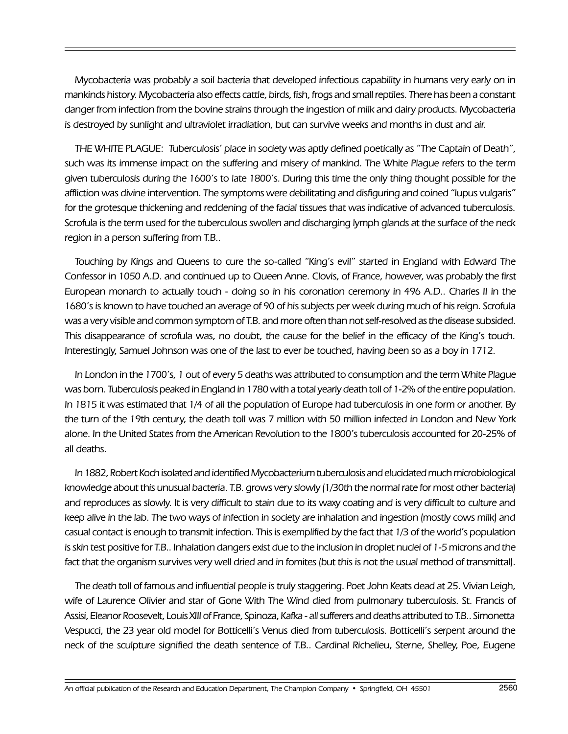Mycobacteria was probably a soil bacteria that developed infectious capability in humans very early on in mankinds history. Mycobacteria also effects cattle, birds, fish, frogs and small reptiles. There has been a constant danger from infection from the bovine strains through the ingestion of milk and dairy products. Mycobacteria is destroyed by sunlight and ultraviolet irradiation, but can survive weeks and months in dust and air.

THE WHITE PLAGUE: Tuberculosis' place in society was aptly defined poetically as "The Captain of Death", such was its immense impact on the suffering and misery of mankind. The White Plague refers to the term given tuberculosis during the 1600's to late 1800's. During this time the only thing thought possible for the affliction was divine intervention. The symptoms were debilitating and disfiguring and coined "lupus vulgaris" for the grotesque thickening and reddening of the facial tissues that was indicative of advanced tuberculosis. Scrofula is the term used for the tuberculous swollen and discharging lymph glands at the surface of the neck region in a person suffering from T.B..

Touching by Kings and Queens to cure the so-called "King's evil" started in England with Edward The Confessor in 1050 A.D. and continued up to Queen Anne. Clovis, of France, however, was probably the first European monarch to actually touch - doing so in his coronation ceremony in 496 A.D.. Charles II in the 1680's is known to have touched an average of 90 of his subjects per week during much of his reign. Scrofula was a very visible and common symptom of T.B. and more often than not self-resolved as the disease subsided. This disappearance of scrofula was, no doubt, the cause for the belief in the efficacy of the King's touch. Interestingly, Samuel Johnson was one of the last to ever be touched, having been so as a boy in 1712.

In London in the 1700's, 1 out of every 5 deaths was attributed to consumption and the term White Plague was born. Tuberculosis peaked in England in 1780 with a total yearly death toll of 1-2% of the entire population. In 1815 it was estimated that 1/4 of all the population of Europe had tuberculosis in one form or another. By the turn of the 19th century, the death toll was 7 million with 50 million infected in London and New York alone. In the United States from the American Revolution to the 1800's tuberculosis accounted for 20-25% of all deaths.

In 1882, Robert Koch isolated and identified Mycobacterium tuberculosis and elucidated much microbiological knowledge about this unusual bacteria. T.B. grows very slowly (1/30th the normal rate for most other bacteria) and reproduces as slowly. It is very difficult to stain due to its waxy coating and is very difficult to culture and keep alive in the lab. The two ways of infection in society are inhalation and ingestion (mostly cows milk) and casual contact is enough to transmit infection. This is exemplified by the fact that 1/3 of the world's population is skin test positive for T.B.. Inhalation dangers exist due to the inclusion in droplet nuclei of 1-5 microns and the fact that the organism survives very well dried and in fomites (but this is not the usual method of transmittal).

The death toll of famous and influential people is truly staggering. Poet John Keats dead at 25. Vivian Leigh, wife of Laurence Olivier and star of Gone With The Wind died from pulmonary tuberculosis. St. Francis of Assisi, Eleanor Roosevelt, Louis XIII of France, Spinoza, Kafka - all sufferers and deaths attributed to T.B.. Simonetta Vespucci, the 23 year old model for Botticelli's Venus died from tuberculosis. Botticelli's serpent around the neck of the sculpture signified the death sentence of T.B.. Cardinal Richelieu, Sterne, Shelley, Poe, Eugene